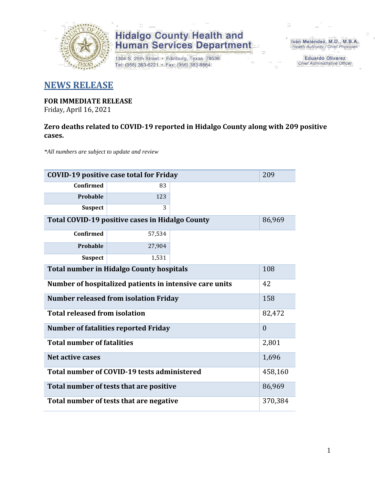

1304 S. 25th Street · Edinburg, Texas 78539 Tel: (956) 383-6221 · Fax: (956) 383-8864

Iván Meléndez, M.D., M.B.A. Health Authority / Chief Physician

> **Eduardo Olivarez Chief Administrative Officer**

### **NEWS RELEASE**

### **FOR IMMEDIATE RELEASE**

Friday, April 16, 2021

#### **Zero deaths related to COVID-19 reported in Hidalgo County along with 209 positive cases.**

*\*All numbers are subject to update and review*

| <b>COVID-19 positive case total for Friday</b>          |          |  |        |
|---------------------------------------------------------|----------|--|--------|
| <b>Confirmed</b>                                        | 83       |  |        |
| Probable                                                | 123      |  |        |
| <b>Suspect</b>                                          | 3        |  |        |
| Total COVID-19 positive cases in Hidalgo County         | 86,969   |  |        |
| <b>Confirmed</b>                                        | 57,534   |  |        |
| Probable                                                | 27,904   |  |        |
| <b>Suspect</b>                                          | 1,531    |  |        |
| <b>Total number in Hidalgo County hospitals</b>         | 108      |  |        |
| Number of hospitalized patients in intensive care units | 42       |  |        |
| <b>Number released from isolation Friday</b>            | 158      |  |        |
| <b>Total released from isolation</b>                    | 82,472   |  |        |
| <b>Number of fatalities reported Friday</b>             | $\theta$ |  |        |
| <b>Total number of fatalities</b>                       |          |  | 2,801  |
| Net active cases                                        |          |  | 1,696  |
| Total number of COVID-19 tests administered             |          |  |        |
| Total number of tests that are positive                 |          |  | 86,969 |
| Total number of tests that are negative                 |          |  |        |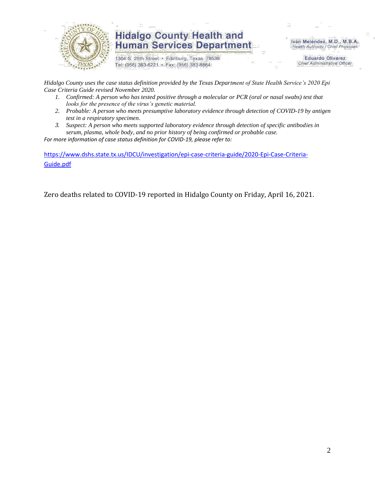

1304 S. 25th Street · Edinburg, Texas 78539 Tel: (956) 383-6221 · Fax: (956) 383-8864

Iván Meléndez, M.D., M.B.A. Health Authority / Chief Physician

> **Eduardo Olivarez Chief Administrative Officer**

*Hidalgo County uses the case status definition provided by the Texas Department of State Health Service's 2020 Epi Case Criteria Guide revised November 2020.*

- *1. Confirmed: A person who has tested positive through a molecular or PCR (oral or nasal swabs) test that looks for the presence of the virus's genetic material.*
- *2. Probable: A person who meets presumptive laboratory evidence through detection of COVID-19 by antigen test in a respiratory specimen.*
- *3. Suspect: A person who meets supported laboratory evidence through detection of specific antibodies in serum, plasma, whole body, and no prior history of being confirmed or probable case.*

*For more information of case status definition for COVID-19, please refer to:*

[https://www.dshs.state.tx.us/IDCU/investigation/epi-case-criteria-guide/2020-Epi-Case-Criteria-](https://www.dshs.state.tx.us/IDCU/investigation/epi-case-criteria-guide/2020-Epi-Case-Criteria-Guide.pdf)[Guide.pdf](https://www.dshs.state.tx.us/IDCU/investigation/epi-case-criteria-guide/2020-Epi-Case-Criteria-Guide.pdf)

Zero deaths related to COVID-19 reported in Hidalgo County on Friday, April 16, 2021.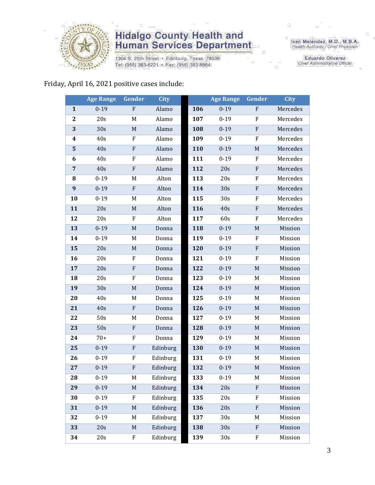

1304 S. 25th Street · Edinburg, Texas 78539 Tel: (956) 383-6221 · Fax: (956) 383-8864

Iván Meléndez, M.D., M.B.A.<br>Health Authority / Chief Physician

**Eduardo Olivarez** Chief Administrative Officer

#### Friday, April 16, 2021 positive cases include:

|                  | <b>Age Range</b> | Gender           | <b>City</b> |     | <b>Age Range</b> | Gender       | <b>City</b> |
|------------------|------------------|------------------|-------------|-----|------------------|--------------|-------------|
| $\mathbf{1}$     | $0 - 19$         | ${\bf F}$        | Alamo       | 106 | $0 - 19$         | F            | Mercedes    |
| $\mathbf{2}$     | 20s              | M                | Alamo       | 107 | $0 - 19$         | ${\bf F}$    | Mercedes    |
| 3                | 30s              | $\mathbf M$      | Alamo       | 108 | $0 - 19$         | $\mathbf{F}$ | Mercedes    |
| $\boldsymbol{4}$ | 40s              | ${\bf F}$        | Alamo       | 109 | $0 - 19$         | F            | Mercedes    |
| 5                | 40s              | ${\bf F}$        | Alamo       | 110 | $0 - 19$         | $\mathbf M$  | Mercedes    |
| 6                | 40s              | F                | Alamo       | 111 | $0 - 19$         | F            | Mercedes    |
| $\overline{7}$   | 40s              | ${\bf F}$        | Alamo       | 112 | 20s              | ${\bf F}$    | Mercedes    |
| 8                | $0 - 19$         | M                | Alton       | 113 | 20s              | ${\bf F}$    | Mercedes    |
| 9                | $0 - 19$         | F                | Alton       | 114 | 30s              | $\mathbf F$  | Mercedes    |
| 10               | $0 - 19$         | M                | Alton       | 115 | 30 <sub>s</sub>  | F            | Mercedes    |
| 11               | 20s              | $\mathbf M$      | Alton       | 116 | 40s              | ${\bf F}$    | Mercedes    |
| 12               | 20s              | F                | Alton       | 117 | 60s              | F            | Mercedes    |
| 13               | $0 - 19$         | $\mathbf M$      | Donna       | 118 | $0 - 19$         | $\mathbf M$  | Mission     |
| 14               | $0 - 19$         | M                | Donna       | 119 | $0 - 19$         | ${\bf F}$    | Mission     |
| 15               | 20s              | M                | Donna       | 120 | $0 - 19$         | ${\bf F}$    | Mission     |
| 16               | 20s              | F                | Donna       | 121 | $0 - 19$         | F            | Mission     |
| 17               | 20s              | $\mathbf F$      | Donna       | 122 | $0 - 19$         | $\mathbf M$  | Mission     |
| 18               | 20s              | ${\bf F}$        | Donna       | 123 | $0 - 19$         | M            | Mission     |
| 19               | 30s              | $\mathbf M$      | Donna       | 124 | $0 - 19$         | M            | Mission     |
| 20               | 40s              | M                | Donna       | 125 | $0 - 19$         | M            | Mission     |
| 21               | 40s              | ${\bf F}$        | Donna       | 126 | $0 - 19$         | M            | Mission     |
| 22               | 50s              | M                | Donna       | 127 | $0 - 19$         | M            | Mission     |
| 23               | 50s              | $\mathbf F$      | Donna       | 128 | $0 - 19$         | $\mathbf M$  | Mission     |
| 24               | $70+$            | $\boldsymbol{F}$ | Donna       | 129 | $0 - 19$         | M            | Mission     |
| 25               | $0 - 19$         | ${\bf F}$        | Edinburg    | 130 | $0 - 19$         | $\mathbf M$  | Mission     |
| 26               | $0 - 19$         | F                | Edinburg    | 131 | $0 - 19$         | M            | Mission     |
| 27               | $0 - 19$         | ${\bf F}$        | Edinburg    | 132 | $0 - 19$         | $M_{\odot}$  | Mission     |
| 28               | $0 - 19$         | M                | Edinburg    | 133 | $0 - 19$         | M            | Mission     |
| 29               | $0 - 19$         | $\mathbf M$      | Edinburg    | 134 | 20s              | $\rm F$      | Mission     |
| 30               | $0 - 19$         | F                | Edinburg    | 135 | 20s              | F            | Mission     |
| 31               | $0 - 19$         | $\mathbf M$      | Edinburg    | 136 | 20s              | $\mathbf{F}$ | Mission     |
| 32               | $0 - 19$         | M                | Edinburg    | 137 | 30s              | M            | Mission     |
| 33               | 20s              | M                | Edinburg    | 138 | 30s              | $\mathbf{F}$ | Mission     |
| 34               | 20s              | F                | Edinburg    | 139 | 30s              | F            | Mission     |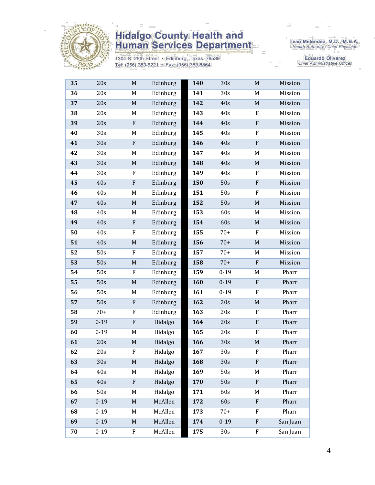

1304 S. 25th Street · Edinburg, Texas 78539 Tel: (956) 383-6221 · Fax: (956) 383-8864

Iván Meléndez, M.D., M.B.A.<br>Health Authority / Chief Physician

Eduardo Olivarez Chief Administrative Officer

| 20s<br>Edinburg<br>141<br>36<br>M<br>30s<br>37<br>20s<br>$\mathbf M$<br>142<br>40s<br>Edinburg | M                         | Mission  |
|------------------------------------------------------------------------------------------------|---------------------------|----------|
|                                                                                                |                           |          |
|                                                                                                | $\mathbf M$               | Mission  |
| 20s<br>38<br>M<br>Edinburg<br>143<br>40s                                                       | F                         | Mission  |
| 39<br>20s<br>F<br>Edinburg<br>144<br>40s                                                       | $\mathbf{F}$              | Mission  |
| Edinburg<br>40<br>30s<br>145<br>40s<br>M                                                       | F                         | Mission  |
| 30s<br>41<br>${\bf F}$<br>Edinburg<br>146<br>40s                                               | ${\bf F}$                 | Mission  |
| 42<br>30s<br>Edinburg<br>147<br>40s<br>M                                                       | M                         | Mission  |
| 43<br>Edinburg<br>148<br>30s<br>$\mathbf M$<br>40s                                             | $\mathbf M$               | Mission  |
| 44<br>30s<br>F<br>Edinburg<br>149<br>40s                                                       | ${\bf F}$                 | Mission  |
| 50s<br>45<br>40s<br>F<br>Edinburg<br>150                                                       | $\mathbf F$               | Mission  |
| 46<br>40s<br>Edinburg<br>151<br>50s<br>M                                                       | F                         | Mission  |
| 47<br>40s<br>Edinburg<br>152<br>50s<br>$M_{\odot}$                                             | $\mathbf M$               | Mission  |
| 48<br>40s<br>M<br>Edinburg<br>153<br>60s                                                       | M                         | Mission  |
| 49<br>40s<br>Edinburg<br>154<br>60s<br>${\bf F}$                                               | $\mathbf M$               | Mission  |
| Edinburg<br>$70+$<br>50<br>40s<br>F<br>155                                                     | F                         | Mission  |
| 51<br>40s<br>Edinburg<br>156<br>$70+$<br>M                                                     | M                         | Mission  |
| Edinburg<br>52<br>50s<br>F<br>157<br>$70+$                                                     | M                         | Mission  |
| 53<br>50s<br>$70+$<br>$M_{\odot}$<br>Edinburg<br>158                                           | $\mathbf{F}$              | Mission  |
| ${\bf F}$<br>Edinburg<br>$0 - 19$<br>54<br>50s<br>159                                          | M                         | Pharr    |
| 55<br>50s<br>$\mathbf M$<br>$0 - 19$<br>Edinburg<br>160                                        | ${\bf F}$                 | Pharr    |
| 56<br>50s<br>Edinburg<br>161<br>$0 - 19$<br>M                                                  | F                         | Pharr    |
| 57<br>50s<br>${\bf F}$<br>Edinburg<br>162<br>20s                                               | $\mathbf M$               | Pharr    |
| 58<br>$70+$<br>Edinburg<br>163<br>F<br>20s                                                     | ${\rm F}$                 | Pharr    |
| 59<br>$0 - 19$<br>${\bf F}$<br>Hidalgo<br>164<br>20s                                           | ${\bf F}$                 | Pharr    |
| $0 - 19$<br>60<br>M<br>Hidalgo<br>165<br>20s                                                   | F                         | Pharr    |
| 61<br>20s<br>$\mathbf M$<br>Hidalgo<br>166<br>30s                                              | $\mathbf M$               | Pharr    |
| 62<br>20s<br>F<br>Hidalgo<br>167<br>30s                                                        | F                         | Pharr    |
| Hidalgo<br>63<br>30s<br>$\mathbf M$<br>168<br>30s                                              | $\mathbf{F}$              | Pharr    |
| Hidalgo<br>169<br>64<br>40s<br>M<br>50s                                                        | M                         | Pharr    |
| 65<br>${\bf F}$<br>Hidalgo<br>50s<br>40s<br>170                                                | ${\bf F}$                 | Pharr    |
| Hidalgo<br>66<br>50s<br>171<br>60s<br>M                                                        | M                         | Pharr    |
| $0 - 19$<br>McAllen<br>67<br>$M_{\odot}$<br>60s<br>172                                         | $\mathbf{F}$              | Pharr    |
| McAllen<br>68<br>$0 - 19$<br>M<br>173<br>$70+$                                                 | ${\bf F}$                 | Pharr    |
| 69<br>$0 - 19$<br>McAllen<br>$0 - 19$<br>$M_{\odot}$<br>174                                    | $\boldsymbol{\mathrm{F}}$ | San Juan |
|                                                                                                |                           | San Juan |